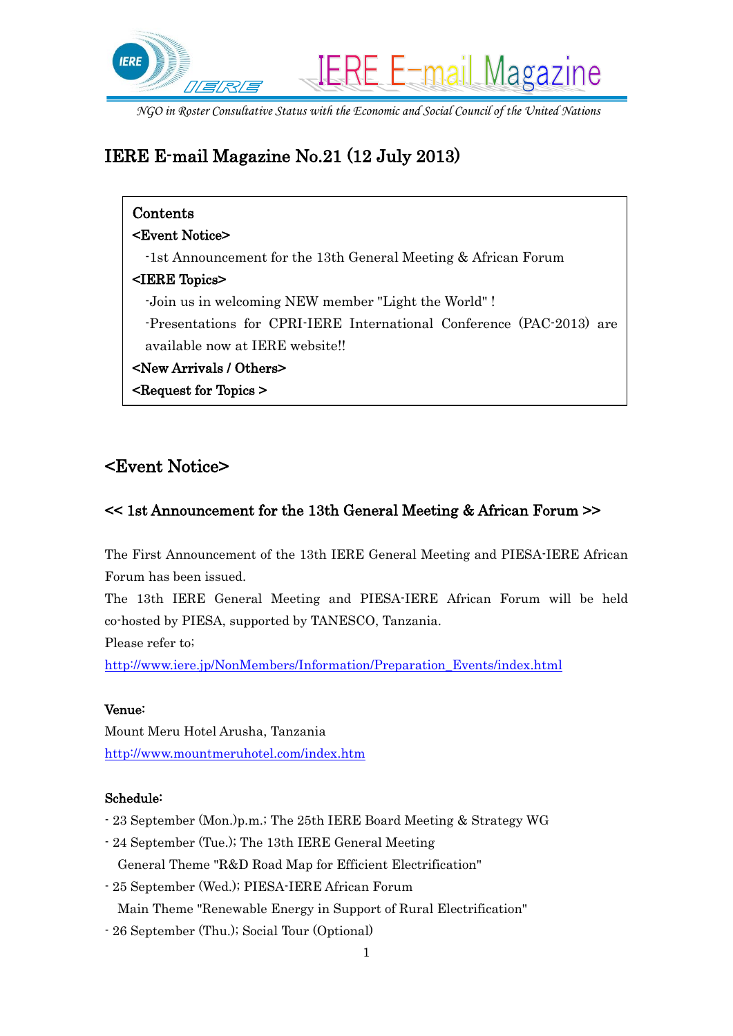

# IERE E-mail Magazine No.21 (12 July 2013)

| Contents                                                             |
|----------------------------------------------------------------------|
| <b><event notice=""></event></b>                                     |
| $-1$ st Announcement for the 13th General Meeting & African Forum    |
| $\leq$ IERE Topics>                                                  |
| -Join us in welcoming NEW member "Light the World"!                  |
| -Presentations for CPRI-IERE International Conference (PAC-2013) are |
| available now at IERE website!!                                      |
| <new arrivals="" others=""></new>                                    |
| $\leq$ Request for Topics $\geq$                                     |

## <Event Notice>

### << 1st Announcement for the 13th General Meeting & African Forum >>

The First Announcement of the 13th IERE General Meeting and PIESA-IERE African Forum has been issued.

The 13th IERE General Meeting and PIESA-IERE African Forum will be held co-hosted by PIESA, supported by TANESCO, Tanzania.

Please refer to;

[http://www.iere.jp/NonMembers/Information/Preparation\\_Events/index.html](http://www.iere.jp/NonMembers/Information/Preparation_Events/index.html)

### Venue:

Mount Meru Hotel Arusha, Tanzania <http://www.mountmeruhotel.com/index.htm>

### Schedule:

- 23 September (Mon.)p.m.; The 25th IERE Board Meeting & Strategy WG
- 24 September (Tue.); The 13th IERE General Meeting General Theme "R&D Road Map for Efficient Electrification"
- 25 September (Wed.); PIESA-IERE African Forum
- Main Theme "Renewable Energy in Support of Rural Electrification"
- 26 September (Thu.); Social Tour (Optional)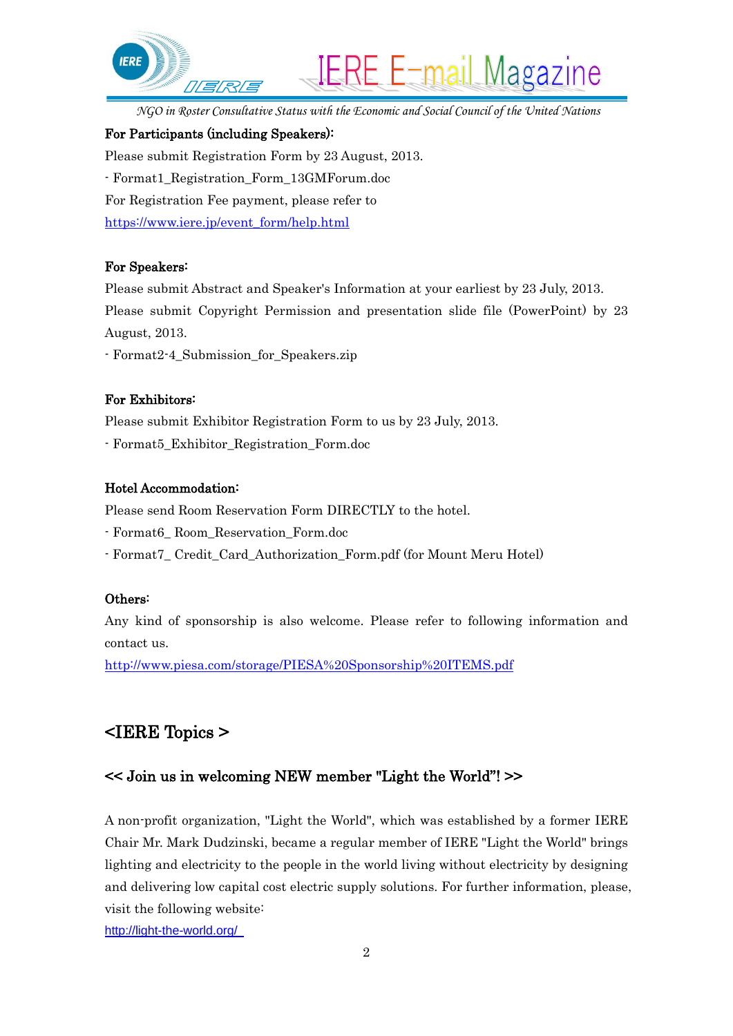

#### For Participants (including Speakers):

Please submit Registration Form by 23 August, 2013. - Format1\_Registration\_Form\_13GMForum.doc For Registration Fee payment, please refer to [https://www.iere.jp/event\\_form/help.html](https://www.iere.jp/event_form/help.html)

#### For Speakers:

Please submit Abstract and Speaker's Information at your earliest by 23 July, 2013.

Please submit Copyright Permission and presentation slide file (PowerPoint) by 23 August, 2013.

- Format2-4\_Submission\_for\_Speakers.zip

#### For Exhibitors:

Please submit Exhibitor Registration Form to us by 23 July, 2013.

- Format5\_Exhibitor\_Registration\_Form.doc

#### Hotel Accommodation:

Please send Room Reservation Form DIRECTLY to the hotel.

- Format6\_ Room\_Reservation\_Form.doc

- Format7\_ Credit\_Card\_Authorization\_Form.pdf (for Mount Meru Hotel)

#### Others:

Any kind of sponsorship is also welcome. Please refer to following information and contact us.

<http://www.piesa.com/storage/PIESA%20Sponsorship%20ITEMS.pdf>

## <IERE Topics >

### << Join us in welcoming NEW member "Light the World"! >>

A non-profit organization, "Light the World", which was established by a former IERE Chair Mr. Mark Dudzinski, became a regular member of IERE "Light the World" brings lighting and electricity to the people in the world living without electricity by designing and delivering low capital cost electric supply solutions. For further information, please, visit the following website:

<http://light-the-world.org/>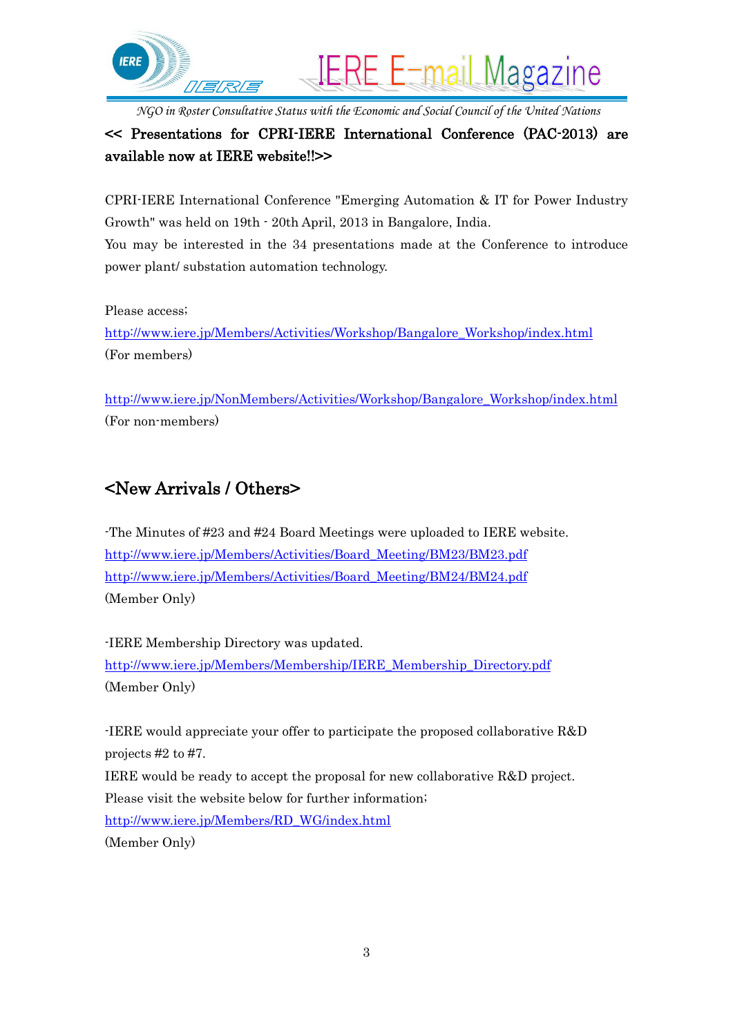

### << Presentations for CPRI-IERE International Conference (PAC-2013) are available now at IERE website!!>>

CPRI-IERE International Conference "Emerging Automation & IT for Power Industry Growth" was held on 19th - 20th April, 2013 in Bangalore, India. You may be interested in the 34 presentations made at the Conference to introduce power plant/ substation automation technology.

Please access;

[http://www.iere.jp/Members/Activities/Workshop/Bangalore\\_Workshop/index.html](http://www.iere.jp/Members/Activities/Workshop/Bangalore_Workshop/index.html) (For members)

[http://www.iere.jp/NonMembers/Activities/Workshop/Bangalore\\_Workshop/index.html](http://www.iere.jp/NonMembers/Activities/Workshop/Bangalore_Workshop/index.html) (For non-members)

## <New Arrivals / Others>

-The Minutes of #23 and #24 Board Meetings were uploaded to IERE website. [http://www.iere.jp/Members/Activities/Board\\_Meeting/BM23/BM23.pdf](http://www.iere.jp/Members/Activities/Board_Meeting/BM23/BM23.pdf) [http://www.iere.jp/Members/Activities/Board\\_Meeting/BM24/BM24.pdf](http://www.iere.jp/Members/Activities/Board_Meeting/BM24/BM24.pdf) (Member Only)

-IERE Membership Directory was updated. [http://www.iere.jp/Members/Membership/IERE\\_Membership\\_Directory.pdf](http://www.iere.jp/Members/Membership/IERE_Membership_Directory.pdf) (Member Only)

-IERE would appreciate your offer to participate the proposed collaborative R&D projects #2 to #7.

IERE would be ready to accept the proposal for new collaborative R&D project. Please visit the website below for further information; [http://www.iere.jp/Members/RD\\_WG/index.html](http://www.iere.jp/Members/RD_WG/index.html)

(Member Only)